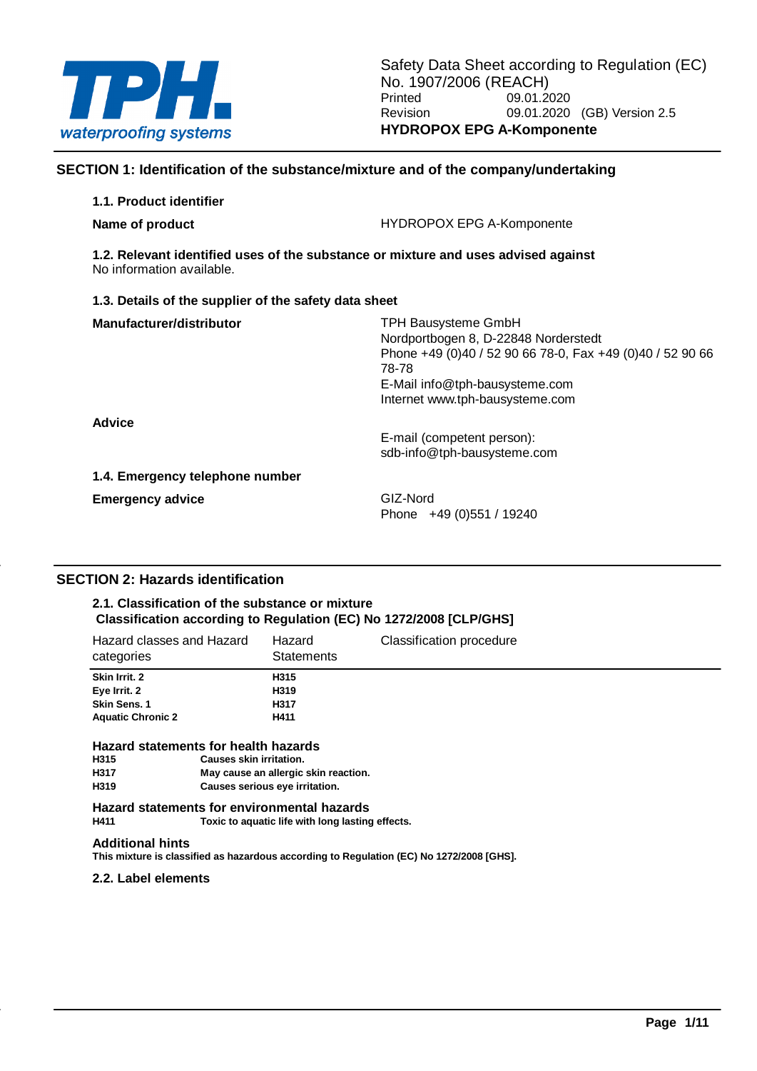

# **SECTION 1: Identification of the substance/mixture and of the company/undertaking**

| 1.1. Product identifier                                                                                         |                                                                                                                                                                                                               |
|-----------------------------------------------------------------------------------------------------------------|---------------------------------------------------------------------------------------------------------------------------------------------------------------------------------------------------------------|
| Name of product                                                                                                 | <b>HYDROPOX EPG A-Komponente</b>                                                                                                                                                                              |
| 1.2. Relevant identified uses of the substance or mixture and uses advised against<br>No information available. |                                                                                                                                                                                                               |
| 1.3. Details of the supplier of the safety data sheet                                                           |                                                                                                                                                                                                               |
| Manufacturer/distributor                                                                                        | <b>TPH Bausysteme GmbH</b><br>Nordportbogen 8, D-22848 Norderstedt<br>Phone +49 (0)40 / 52 90 66 78-0, Fax +49 (0)40 / 52 90 66<br>78-78<br>E-Mail info@tph-bausysteme.com<br>Internet www.tph-bausysteme.com |
| <b>Advice</b>                                                                                                   | E-mail (competent person):<br>sdb-info@tph-bausysteme.com                                                                                                                                                     |
| 1.4. Emergency telephone number                                                                                 |                                                                                                                                                                                                               |
| <b>Emergency advice</b>                                                                                         | GIZ-Nord<br>Phone +49 (0)551 / 19240                                                                                                                                                                          |

# **SECTION 2: Hazards identification**

#### **2.1. Classification of the substance or mixture Classification according to Regulation (EC) No 1272/2008 [CLP/GHS]**

| Hazard classes and Hazard<br>categories                                                                                        | Hazard<br><b>Statements</b> | Classification procedure |
|--------------------------------------------------------------------------------------------------------------------------------|-----------------------------|--------------------------|
| Skin Irrit. 2                                                                                                                  | H315                        |                          |
| Eye Irrit. 2                                                                                                                   | H319                        |                          |
| Skin Sens. 1                                                                                                                   | H317                        |                          |
| <b>Aquatic Chronic 2</b>                                                                                                       | H411                        |                          |
| $\mathbf{r}$ , and $\mathbf{r}$ , and $\mathbf{r}$ , and $\mathbf{r}$ , and $\mathbf{r}$ , and $\mathbf{r}$ , and $\mathbf{r}$ |                             |                          |

# **Hazard statements for health hazards**

| H315 | <b>Causes skin irritation.</b>       |
|------|--------------------------------------|
| H317 | May cause an allergic skin reaction. |
| H319 | Causes serious eye irritation.       |

**Hazard statements for environmental hazards** Toxic to aquatic life with long lasting effects.

#### **Additional hints**

**This mixture is classified as hazardous according to Regulation (EC) No 1272/2008 [GHS].**

#### **2.2. Label elements**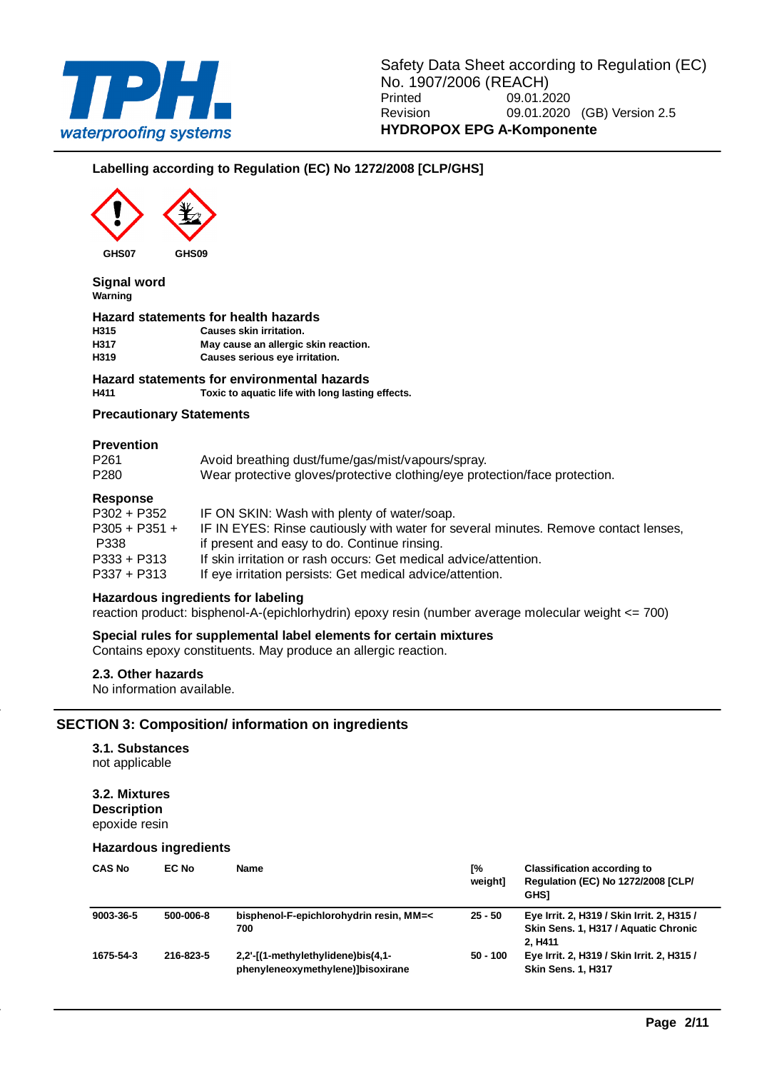

# **Labelling according to Regulation (EC) No 1272/2008 [CLP/GHS]**



**Signal word Warning**

#### **Hazard statements for health hazards**

**H315 Causes skin irritation. H317 May cause an allergic skin reaction. H319 Causes serious eye irritation.**

#### **Hazard statements for environmental hazards**

**H411 Toxic to aquatic life with long lasting effects.**

#### **Precautionary Statements**

#### **Prevention**

| <b>Doenoneo</b>          |                                                                                                                                 |
|--------------------------|---------------------------------------------------------------------------------------------------------------------------------|
| P <sub>261</sub><br>P280 | Avoid breathing dust/fume/gas/mist/vapours/spray.<br>Wear protective gloves/protective clothing/eye protection/face protection. |
|                          |                                                                                                                                 |

#### **Response**

| nesponse        |                                                                                     |
|-----------------|-------------------------------------------------------------------------------------|
| P302 + P352     | IF ON SKIN: Wash with plenty of water/soap.                                         |
| $P305 + P351 +$ | IF IN EYES: Rinse cautiously with water for several minutes. Remove contact lenses, |
| P338            | if present and easy to do. Continue rinsing.                                        |
| P333 + P313     | If skin irritation or rash occurs: Get medical advice/attention.                    |
| P337 + P313     | If eye irritation persists: Get medical advice/attention.                           |
|                 |                                                                                     |

#### **Hazardous ingredients for labeling**

reaction product: bisphenol-A-(epichlorhydrin) epoxy resin (number average molecular weight <= 700)

#### **Special rules for supplemental label elements for certain mixtures**

Contains epoxy constituents. May produce an allergic reaction.

#### **2.3. Other hazards**

No information available.

#### **SECTION 3: Composition/ information on ingredients**

# **3.1. Substances**

not applicable

# **3.2. Mixtures**

**Description** epoxide resin

#### **Hazardous ingredients**

| <b>CAS No</b> | EC No     | <b>Name</b>                                                             | Г%<br>weight] | <b>Classification according to</b><br>Regulation (EC) No 1272/2008 [CLP/<br><b>GHSI</b>                   |
|---------------|-----------|-------------------------------------------------------------------------|---------------|-----------------------------------------------------------------------------------------------------------|
| 9003-36-5     | 500-006-8 | bisphenol-F-epichlorohydrin resin, MM=<<br>700                          | $25 - 50$     | Eye Irrit. 2, H319 / Skin Irrit. 2, H315 /<br>Skin Sens. 1, H317 / Aquatic Chronic<br>2. H <sub>411</sub> |
| 1675-54-3     | 216-823-5 | 2,2'-[(1-methylethylidene)bis(4,1-<br>phenyleneoxymethylene)]bisoxirane | $50 - 100$    | Eye Irrit. 2, H319 / Skin Irrit. 2, H315 /<br><b>Skin Sens. 1, H317</b>                                   |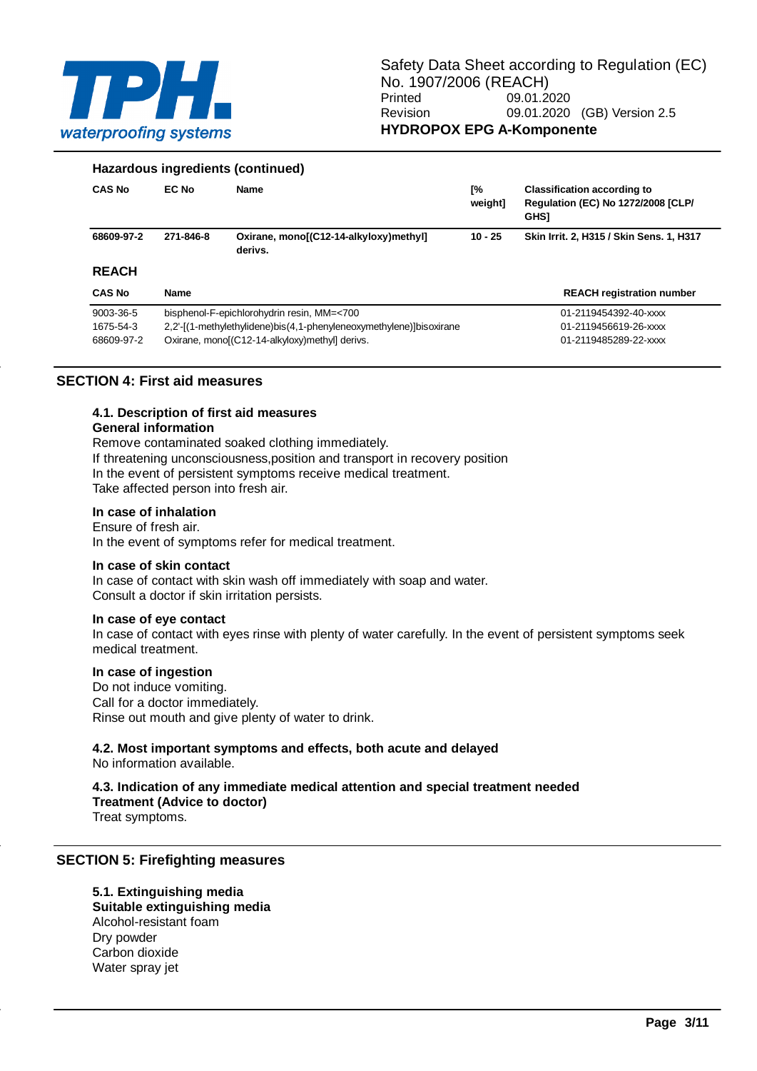

#### **Hazardous ingredients (continued)**

| <b>CAS No</b> | EC No       | <b>Name</b>                                                         | [%<br>weight] | <b>Classification according to</b><br><b>Regulation (EC) No 1272/2008 [CLP/</b><br><b>GHSI</b> |
|---------------|-------------|---------------------------------------------------------------------|---------------|------------------------------------------------------------------------------------------------|
| 68609-97-2    | 271-846-8   | Oxirane, mono[(C12-14-alkyloxy)methyl]<br>derivs.                   | $10 - 25$     | Skin Irrit. 2, H315 / Skin Sens. 1, H317                                                       |
| <b>REACH</b>  |             |                                                                     |               |                                                                                                |
| <b>CAS No</b> | <b>Name</b> |                                                                     |               | <b>REACH registration number</b>                                                               |
| 9003-36-5     |             | bisphenol-F-epichlorohydrin resin, MM=<700                          |               | 01-2119454392-40-xxxx                                                                          |
| 1675-54-3     |             | 2,2'-[(1-methylethylidene)bis(4,1-phenyleneoxymethylene)]bisoxirane |               | 01-2119456619-26-xxxx                                                                          |
| 68609-97-2    |             | Oxirane, mono[(C12-14-alkyloxy)methyl] derivs.                      |               | 01-2119485289-22-xxxx                                                                          |

# **SECTION 4: First aid measures**

# **4.1. Description of first aid measures**

#### **General information**

Remove contaminated soaked clothing immediately. If threatening unconsciousness,position and transport in recovery position In the event of persistent symptoms receive medical treatment. Take affected person into fresh air.

#### **In case of inhalation**

Ensure of fresh air.

In the event of symptoms refer for medical treatment.

#### **In case of skin contact**

In case of contact with skin wash off immediately with soap and water. Consult a doctor if skin irritation persists.

#### **In case of eye contact**

In case of contact with eyes rinse with plenty of water carefully. In the event of persistent symptoms seek medical treatment.

#### **In case of ingestion**

Do not induce vomiting. Call for a doctor immediately. Rinse out mouth and give plenty of water to drink.

#### **4.2. Most important symptoms and effects, both acute and delayed**

No information available.

### **4.3. Indication of any immediate medical attention and special treatment needed Treatment (Advice to doctor)**

Treat symptoms.

#### **SECTION 5: Firefighting measures**

#### **5.1. Extinguishing media**

**Suitable extinguishing media** Alcohol-resistant foam Dry powder Carbon dioxide Water spray jet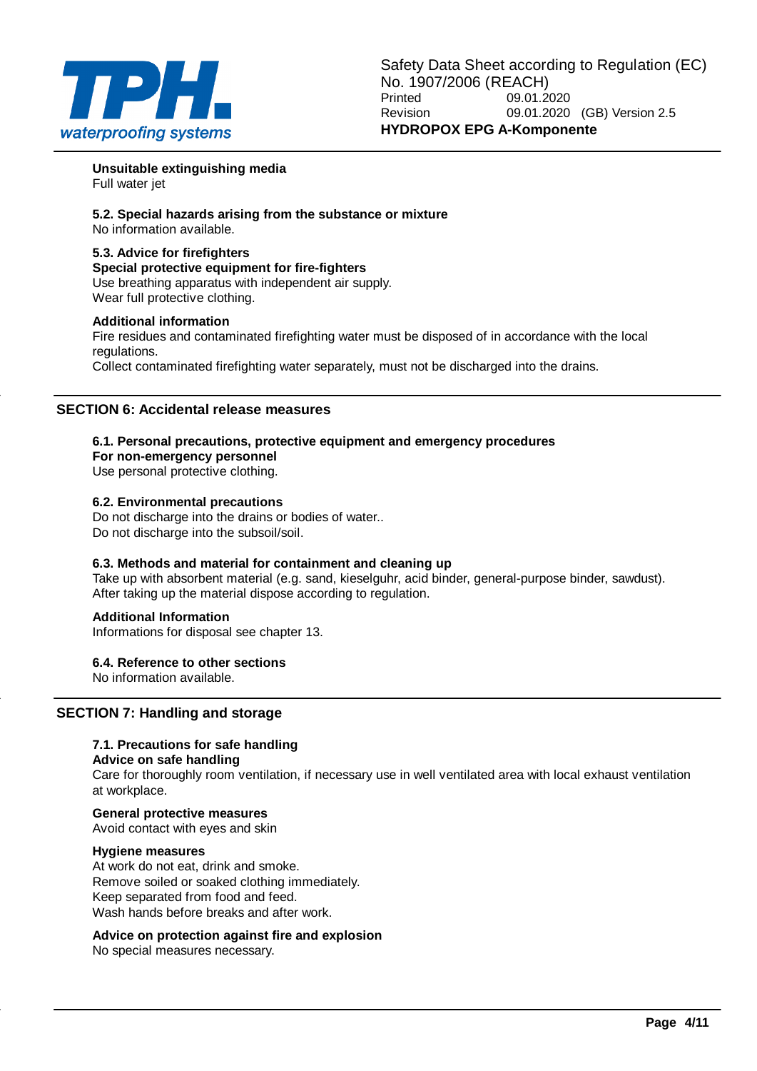

**Unsuitable extinguishing media** Full water jet

**5.2. Special hazards arising from the substance or mixture** No information available.

#### **5.3. Advice for firefighters**

**Special protective equipment for fire-fighters** Use breathing apparatus with independent air supply. Wear full protective clothing.

#### **Additional information**

Fire residues and contaminated firefighting water must be disposed of in accordance with the local regulations.

Collect contaminated firefighting water separately, must not be discharged into the drains.

### **SECTION 6: Accidental release measures**

#### **6.1. Personal precautions, protective equipment and emergency procedures**

**For non-emergency personnel**

Use personal protective clothing.

#### **6.2. Environmental precautions**

Do not discharge into the drains or bodies of water.. Do not discharge into the subsoil/soil.

#### **6.3. Methods and material for containment and cleaning up**

Take up with absorbent material (e.g. sand, kieselguhr, acid binder, general-purpose binder, sawdust). After taking up the material dispose according to regulation.

#### **Additional Information**

Informations for disposal see chapter 13.

**6.4. Reference to other sections**

No information available.

# **SECTION 7: Handling and storage**

# **7.1. Precautions for safe handling**

#### **Advice on safe handling**

Care for thoroughly room ventilation, if necessary use in well ventilated area with local exhaust ventilation at workplace.

# **General protective measures**

Avoid contact with eyes and skin

#### **Hygiene measures**

At work do not eat, drink and smoke. Remove soiled or soaked clothing immediately. Keep separated from food and feed. Wash hands before breaks and after work.

### **Advice on protection against fire and explosion**

No special measures necessary.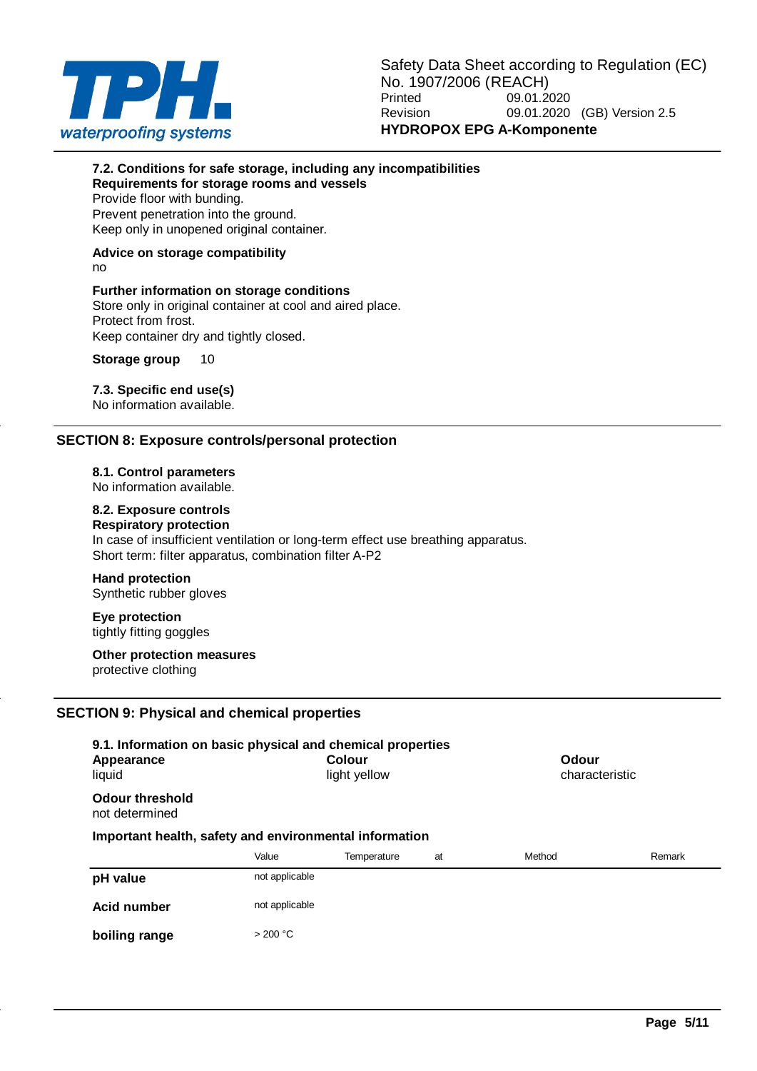

### **7.2. Conditions for safe storage, including any incompatibilities Requirements for storage rooms and vessels**

Provide floor with bunding. Prevent penetration into the ground.

Keep only in unopened original container.

# **Advice on storage compatibility**

no

# **Further information on storage conditions**

Store only in original container at cool and aired place. Protect from frost. Keep container dry and tightly closed.

# **Storage group** 10

# **7.3. Specific end use(s)**

No information available.

# **SECTION 8: Exposure controls/personal protection**

**8.1. Control parameters**

No information available.

# **8.2. Exposure controls**

**Respiratory protection** In case of insufficient ventilation or long-term effect use breathing apparatus. Short term: filter apparatus, combination filter A-P2

# **Hand protection**

Synthetic rubber gloves

**Eye protection** tightly fitting goggles

**Other protection measures** protective clothing

# **SECTION 9: Physical and chemical properties**

| 9.1. Information on basic physical and chemical properties<br>Appearance<br>liquid |                | Colour<br>light yellow |    | Odour<br>characteristic |        |
|------------------------------------------------------------------------------------|----------------|------------------------|----|-------------------------|--------|
| Odour threshold<br>not determined                                                  |                |                        |    |                         |        |
| Important health, safety and environmental information                             |                |                        |    |                         |        |
|                                                                                    | Value          | Temperature            | at | Method                  | Remark |
| pH value                                                                           | not applicable |                        |    |                         |        |
| Acid number                                                                        | not applicable |                        |    |                         |        |
| boiling range                                                                      | > 200 °C       |                        |    |                         |        |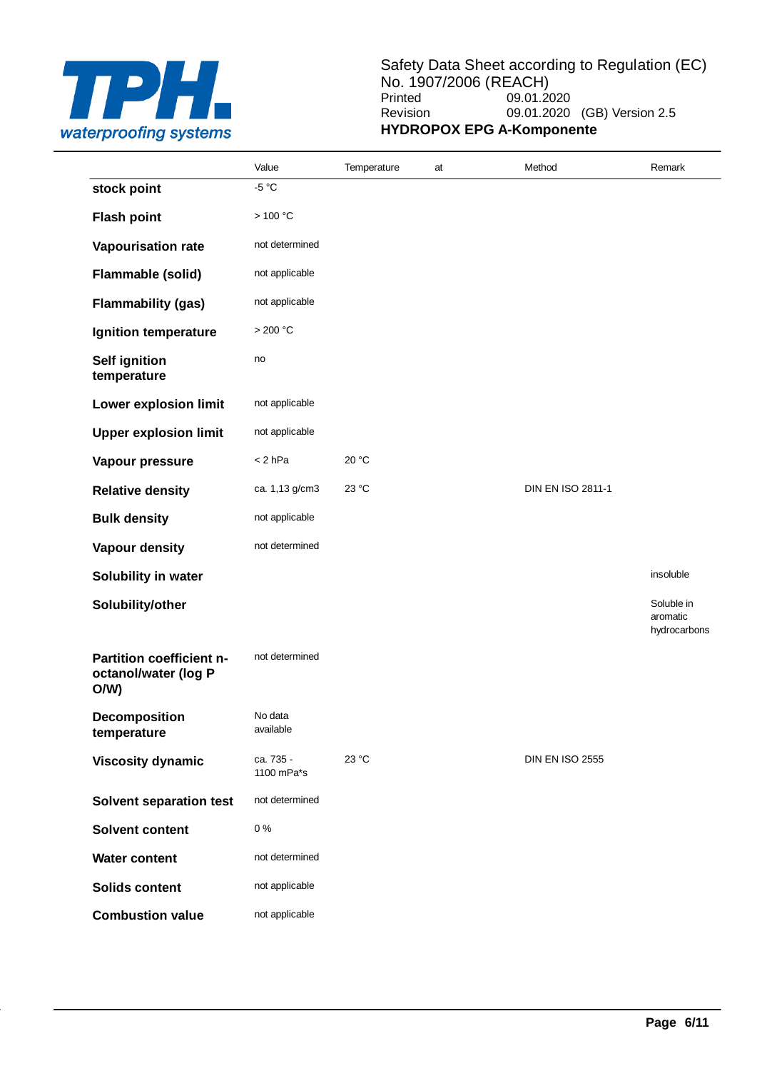

# Safety Data Sheet according to Regulation (EC) No. 1907/2006 (REACH)<br>Printed 09.01.2 09.01.2020 Revision 09.01.2020 (GB) Version 2.5 **HYDROPOX EPG A-Komponente**

|                                                         | Value                   | Temperature | at | Method                   | Remark                                 |
|---------------------------------------------------------|-------------------------|-------------|----|--------------------------|----------------------------------------|
| stock point                                             | $-5 °C$                 |             |    |                          |                                        |
| <b>Flash point</b>                                      | >100 °C                 |             |    |                          |                                        |
| Vapourisation rate                                      | not determined          |             |    |                          |                                        |
| Flammable (solid)                                       | not applicable          |             |    |                          |                                        |
| <b>Flammability (gas)</b>                               | not applicable          |             |    |                          |                                        |
| Ignition temperature                                    | >200 °C                 |             |    |                          |                                        |
| <b>Self ignition</b><br>temperature                     | no                      |             |    |                          |                                        |
| Lower explosion limit                                   | not applicable          |             |    |                          |                                        |
| <b>Upper explosion limit</b>                            | not applicable          |             |    |                          |                                        |
| Vapour pressure                                         | $< 2$ hPa               | 20 °C       |    |                          |                                        |
| <b>Relative density</b>                                 | ca. 1,13 g/cm3          | 23 °C       |    | <b>DIN EN ISO 2811-1</b> |                                        |
| <b>Bulk density</b>                                     | not applicable          |             |    |                          |                                        |
| <b>Vapour density</b>                                   | not determined          |             |    |                          |                                        |
| Solubility in water                                     |                         |             |    |                          | insoluble                              |
| Solubility/other                                        |                         |             |    |                          | Soluble in<br>aromatic<br>hydrocarbons |
| Partition coefficient n-<br>octanol/water (log P<br>O/W | not determined          |             |    |                          |                                        |
| <b>Decomposition</b><br>temperature                     | No data<br>available    |             |    |                          |                                        |
| <b>Viscosity dynamic</b>                                | ca. 735 -<br>1100 mPa*s | 23 °C       |    | <b>DIN EN ISO 2555</b>   |                                        |
| <b>Solvent separation test</b>                          | not determined          |             |    |                          |                                        |
| <b>Solvent content</b>                                  | 0%                      |             |    |                          |                                        |
| <b>Water content</b>                                    | not determined          |             |    |                          |                                        |
| <b>Solids content</b>                                   | not applicable          |             |    |                          |                                        |
| <b>Combustion value</b>                                 | not applicable          |             |    |                          |                                        |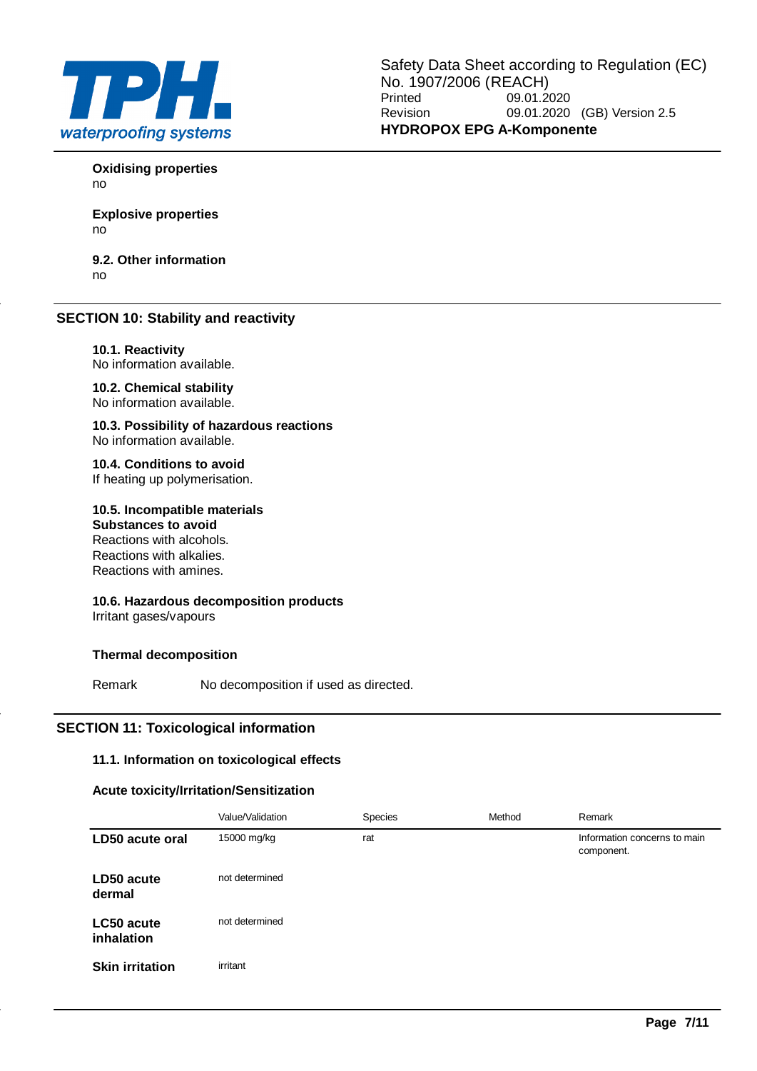

**Oxidising properties** no

**Explosive properties** no

**9.2. Other information** no

# **SECTION 10: Stability and reactivity**

**10.1. Reactivity** No information available.

**10.2. Chemical stability** No information available.

**10.3. Possibility of hazardous reactions** No information available.

**10.4. Conditions to avoid** If heating up polymerisation.

**10.5. Incompatible materials Substances to avoid**

Reactions with alcohols. Reactions with alkalies. Reactions with amines.

**10.6. Hazardous decomposition products** Irritant gases/vapours

# **Thermal decomposition**

Remark No decomposition if used as directed.

# **SECTION 11: Toxicological information**

### **11.1. Information on toxicological effects**

#### **Acute toxicity/Irritation/Sensitization**

|                          | Value/Validation | Species | Method | Remark                                     |
|--------------------------|------------------|---------|--------|--------------------------------------------|
| LD50 acute oral          | 15000 mg/kg      | rat     |        | Information concerns to main<br>component. |
| LD50 acute<br>dermal     | not determined   |         |        |                                            |
| LC50 acute<br>inhalation | not determined   |         |        |                                            |
| <b>Skin irritation</b>   | irritant         |         |        |                                            |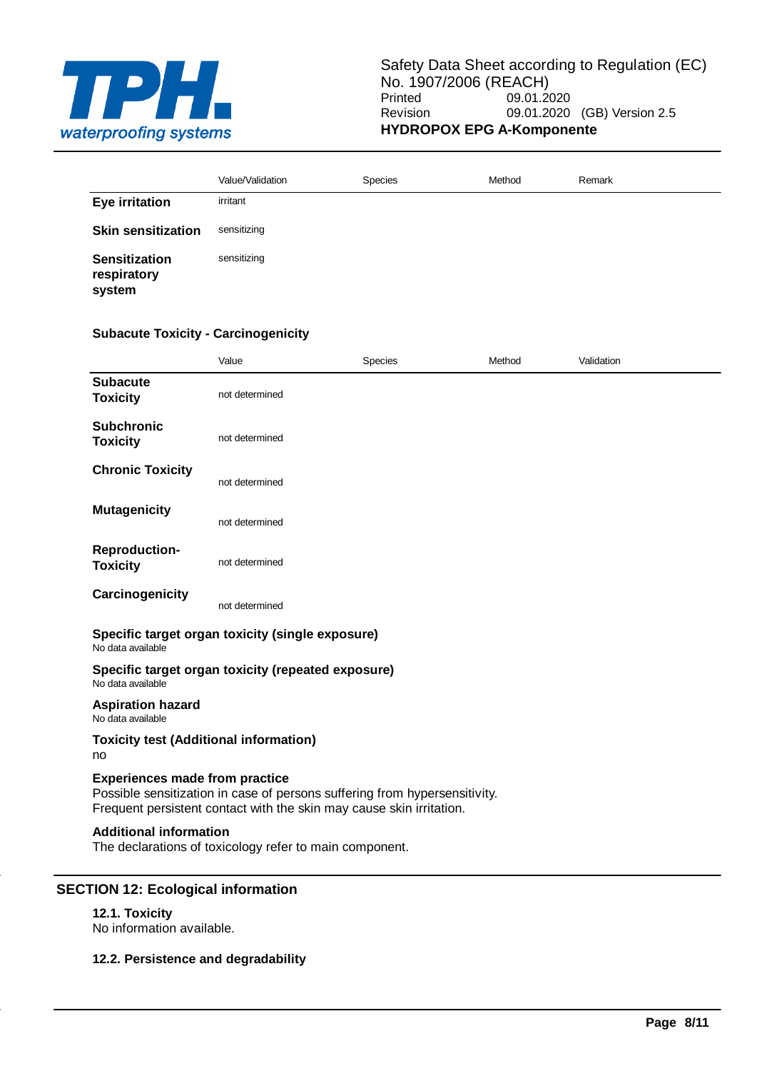

|                                               | Value/Validation | Species | Method | Remark |
|-----------------------------------------------|------------------|---------|--------|--------|
| <b>Eye irritation</b>                         | irritant         |         |        |        |
| <b>Skin sensitization</b>                     | sensitizing      |         |        |        |
| <b>Sensitization</b><br>respiratory<br>system | sensitizing      |         |        |        |

# **Subacute Toxicity - Carcinogenicity**

|                                                                         | Value          | Species                                                                                                                                            | Method | Validation |  |
|-------------------------------------------------------------------------|----------------|----------------------------------------------------------------------------------------------------------------------------------------------------|--------|------------|--|
| <b>Subacute</b><br><b>Toxicity</b>                                      | not determined |                                                                                                                                                    |        |            |  |
| <b>Subchronic</b><br><b>Toxicity</b>                                    | not determined |                                                                                                                                                    |        |            |  |
| <b>Chronic Toxicity</b>                                                 | not determined |                                                                                                                                                    |        |            |  |
| <b>Mutagenicity</b>                                                     | not determined |                                                                                                                                                    |        |            |  |
| <b>Reproduction-</b><br><b>Toxicity</b>                                 | not determined |                                                                                                                                                    |        |            |  |
| Carcinogenicity                                                         | not determined |                                                                                                                                                    |        |            |  |
| Specific target organ toxicity (single exposure)<br>No data available   |                |                                                                                                                                                    |        |            |  |
| Specific target organ toxicity (repeated exposure)<br>No data available |                |                                                                                                                                                    |        |            |  |
| <b>Aspiration hazard</b><br>No data available                           |                |                                                                                                                                                    |        |            |  |
| <b>Toxicity test (Additional information)</b><br>no                     |                |                                                                                                                                                    |        |            |  |
| <b>Experiences made from practice</b>                                   |                | Possible sensitization in case of persons suffering from hypersensitivity.<br>Frequent persistent contact with the skin may cause skin irritation. |        |            |  |
| <b>Additional information</b>                                           |                | The declarations of toxicology refer to main component.                                                                                            |        |            |  |

No information available.

### **12.2. Persistence and degradability**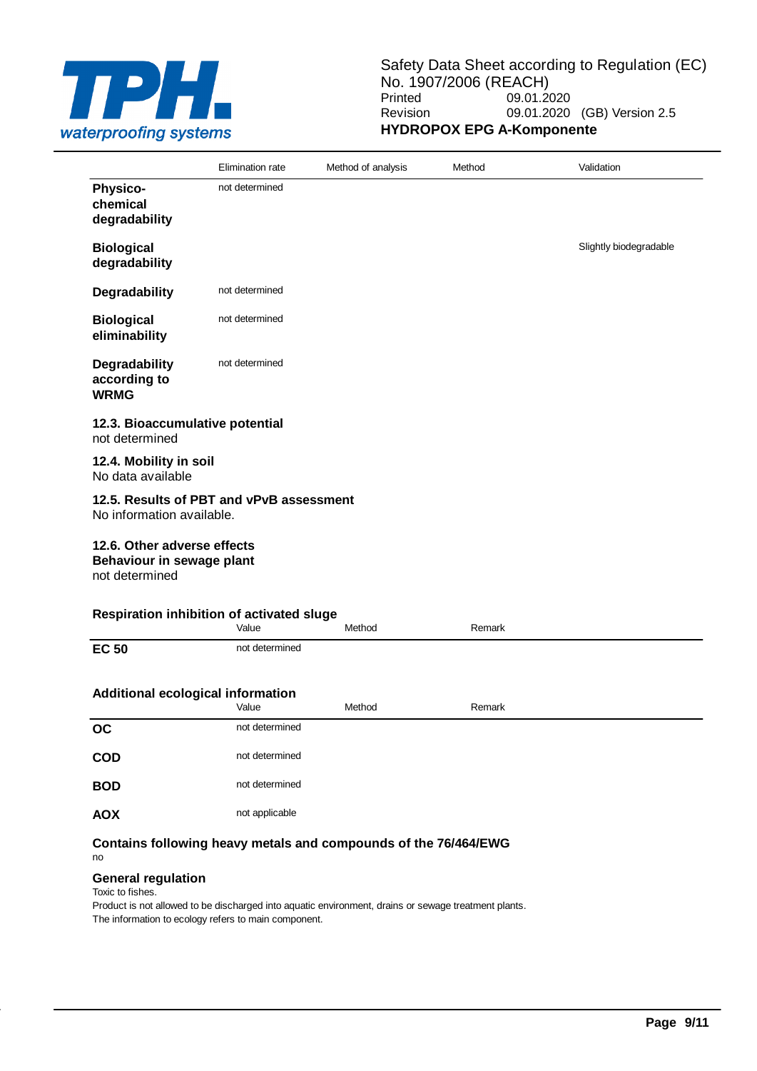

|                                                                            | Elimination rate | Method of analysis | Method | Validation             |
|----------------------------------------------------------------------------|------------------|--------------------|--------|------------------------|
| <b>Physico-</b><br>chemical<br>degradability                               | not determined   |                    |        |                        |
| <b>Biological</b><br>degradability                                         |                  |                    |        | Slightly biodegradable |
| Degradability                                                              | not determined   |                    |        |                        |
| <b>Biological</b><br>eliminability                                         | not determined   |                    |        |                        |
| Degradability<br>according to<br><b>WRMG</b>                               | not determined   |                    |        |                        |
| 12.3. Bioaccumulative potential<br>not determined                          |                  |                    |        |                        |
| 12.4. Mobility in soil<br>No data available                                |                  |                    |        |                        |
| 12.5. Results of PBT and vPvB assessment<br>No information available.      |                  |                    |        |                        |
| 12.6. Other adverse effects<br>Behaviour in sewage plant<br>not determined |                  |                    |        |                        |
| Respiration inhibition of activated sluge                                  | Value            | Method             | Remark |                        |
| <b>EC 50</b>                                                               | not determined   |                    |        |                        |
| Additional ecological information                                          | Value            | Method             | Remark |                        |
| <b>OC</b>                                                                  | not determined   |                    |        |                        |
| COD                                                                        | not determined   |                    |        |                        |
| <b>BOD</b>                                                                 | not determined   |                    |        |                        |

**Contains following heavy metals and compounds of the 76/464/EWG** no

#### **General regulation**

AOX not applicable

Toxic to fishes.

Product is not allowed to be discharged into aquatic environment, drains or sewage treatment plants. The information to ecology refers to main component.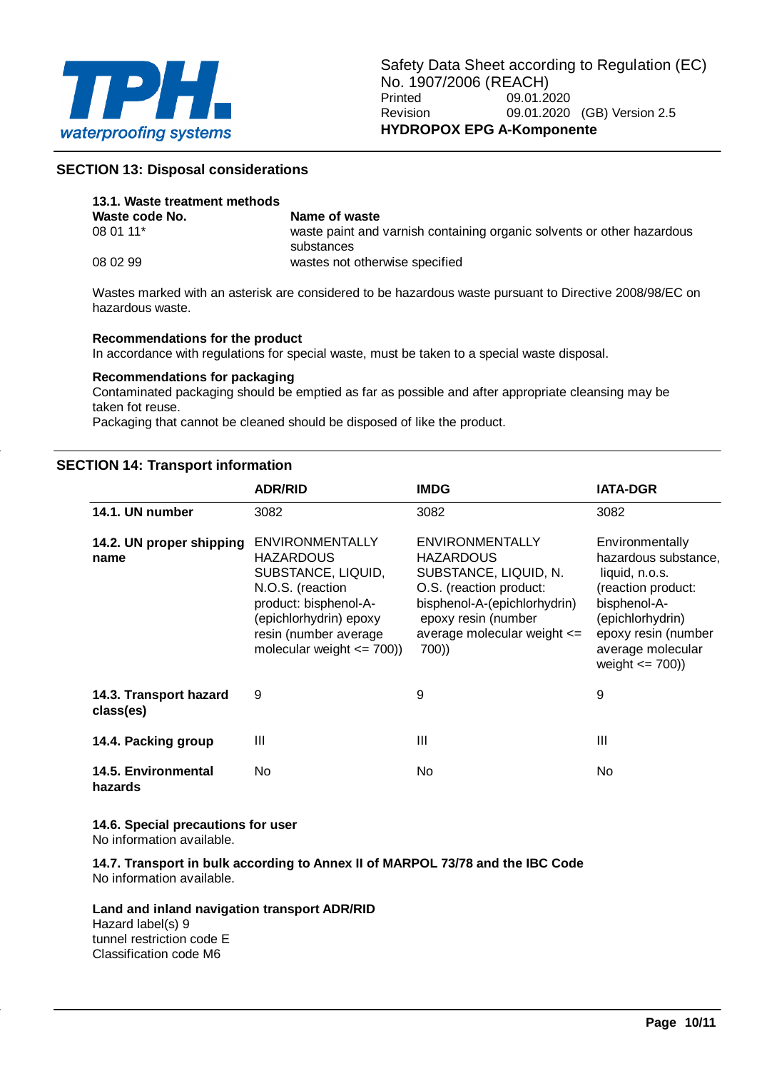

### **SECTION 13: Disposal considerations**

| 13.1. Waste treatment methods |                                                                                      |
|-------------------------------|--------------------------------------------------------------------------------------|
| Waste code No.                | Name of waste                                                                        |
| 08 01 11*                     | waste paint and varnish containing organic solvents or other hazardous<br>substances |
| 08 02 99                      | wastes not otherwise specified                                                       |

Wastes marked with an asterisk are considered to be hazardous waste pursuant to Directive 2008/98/EC on hazardous waste.

#### **Recommendations for the product**

In accordance with regulations for special waste, must be taken to a special waste disposal.

#### **Recommendations for packaging**

Contaminated packaging should be emptied as far as possible and after appropriate cleansing may be taken fot reuse.

Packaging that cannot be cleaned should be disposed of like the product.

#### **SECTION 14: Transport information**

|                                     | <b>ADR/RID</b>                                                                                                                                                                                    | <b>IMDG</b>                                                                                                                                                                                        | <b>IATA-DGR</b>                                                                                                                                                                        |
|-------------------------------------|---------------------------------------------------------------------------------------------------------------------------------------------------------------------------------------------------|----------------------------------------------------------------------------------------------------------------------------------------------------------------------------------------------------|----------------------------------------------------------------------------------------------------------------------------------------------------------------------------------------|
| 14.1. UN number                     | 3082                                                                                                                                                                                              | 3082                                                                                                                                                                                               | 3082                                                                                                                                                                                   |
| 14.2. UN proper shipping<br>name    | <b>ENVIRONMENTALLY</b><br><b>HAZARDOUS</b><br>SUBSTANCE, LIQUID,<br>N.O.S. (reaction<br>product: bisphenol-A-<br>(epichlorhydrin) epoxy<br>resin (number average<br>molecular weight $\leq$ 700)) | <b>ENVIRONMENTALLY</b><br><b>HAZARDOUS</b><br>SUBSTANCE, LIQUID, N.<br>O.S. (reaction product:<br>bisphenol-A-(epichlorhydrin)<br>epoxy resin (number<br>average molecular weight $\le$ =<br>700)) | Environmentally<br>hazardous substance,<br>liquid, n.o.s.<br>(reaction product:<br>bisphenol-A-<br>(epichlorhydrin)<br>epoxy resin (number<br>average molecular<br>weight $\leq$ 700)) |
| 14.3. Transport hazard<br>class(es) | 9                                                                                                                                                                                                 | 9                                                                                                                                                                                                  | 9                                                                                                                                                                                      |
| 14.4. Packing group                 | Ш                                                                                                                                                                                                 | Ш                                                                                                                                                                                                  | III                                                                                                                                                                                    |
| 14.5. Environmental<br>hazards      | No                                                                                                                                                                                                | No.                                                                                                                                                                                                | No                                                                                                                                                                                     |

**14.6. Special precautions for user** No information available.

**14.7. Transport in bulk according to Annex II of MARPOL 73/78 and the IBC Code** No information available.

**Land and inland navigation transport ADR/RID**

Hazard label(s) 9 tunnel restriction code E Classification code M6